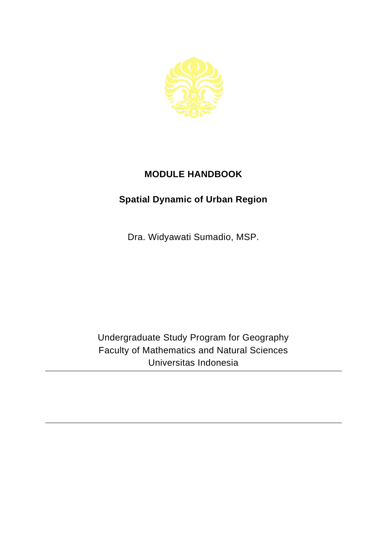

## **MODULE HANDBOOK**

## **Spatial Dynamic of Urban Region**

Dra. Widyawati Sumadio, MSP.

Undergraduate Study Program for Geography Faculty of Mathematics and Natural Sciences Universitas Indonesia